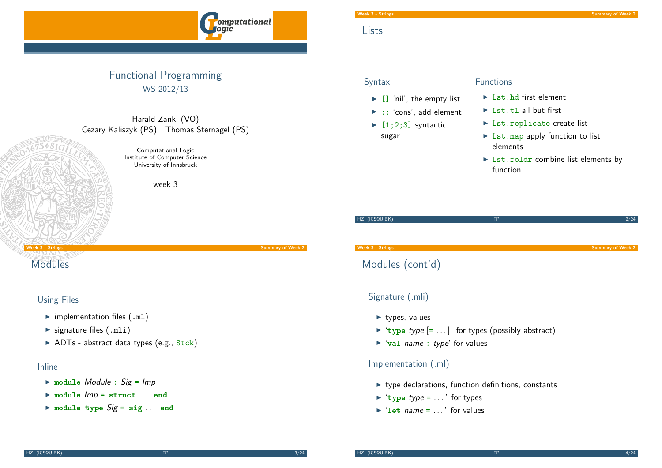

# Functional Programming WS 2012/13

#### Harald Zankl (VO) Cezary Kaliszyk (PS) Thomas Sternagel (PS)

Computational Logic Institute of Computer Science University of Innsbruck

week 3

# week 3 - Strings Summary of Week 2

# **[M](#page-0-0)odules**

#### Using Files

- $\blacktriangleright$  implementation files (.ml)
- $\blacktriangleright$  signature files (.mli)
- $\triangleright$  ADTs abstract data types (e.g., Stck)

#### Inline

- $\triangleright$  module Module : Sig = Imp
- $\blacktriangleright$  module  $Imp =$  struct ... end
- $\triangleright$  module type  $Sig = sig ...$  end

# **Lists**

## **Syntax**

- $\blacktriangleright$   $\Box$  'nil', the empty list  $\blacktriangleright$  :: 'cons', add element
- $\blacktriangleright$  [1;2;3] syntactic sugar

#### Functions

- $\blacktriangleright$  Lst.hd first element
- $\blacktriangleright$  Lst.tl all but first
- ▶ Lst.replicate create list
- $\triangleright$  Lst.map apply function to list elements
- $\triangleright$  Lst.foldr combine list elements by function

# HZ (ICS@UIBK) FP 2/24

Week 3 - Strings Summary of Week 2

# Modules (cont'd)

# Signature (.mli)

- $\blacktriangleright$  types, values
- $\triangleright$  'type type  $\lbrack = \dots \rbrack$ ' for types (possibly abstract)
- $\blacktriangleright$  'val name : type' for values

#### Implementation (.ml)

- $\blacktriangleright$  type declarations, function definitions, constants
- $\blacktriangleright$  'type type = ...' for types
- <span id="page-0-0"></span> $\triangleright$  'let name =  $\triangleright$  for values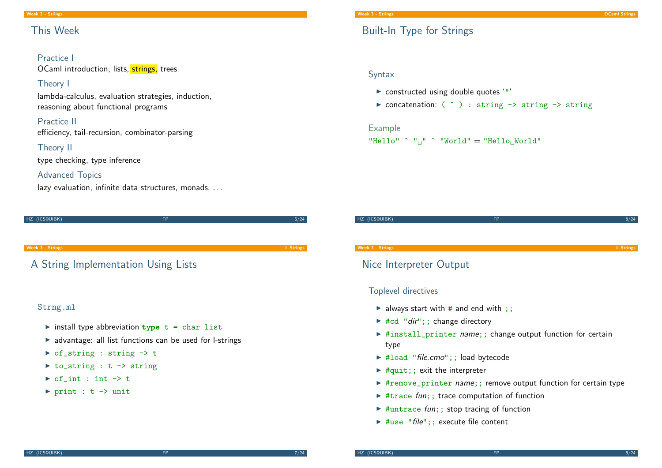# This Week

#### Practice I OCaml introduction, lists, strings, trees

#### Theory I

lambda-calculus, evaluation strategies, induction, reasoning about functional programs

#### Practice II

efficiency, tail-recursion, combinator-parsing

#### Theory II

type checking, type inference

#### Advanced Topics

lazy evaluation, infinite data structures, monads, ...

| HZ (ICS@UIBK) | <b>FP</b> | 5/24 |
|---------------|-----------|------|
|               |           |      |
|               |           |      |
|               |           |      |
|               |           |      |

week 3 - Strings L-Strings L-Strings L-Strings L-Strings L-Strings L-Strings L-Strings L-Strings L-Strings L-Strings L-Strings L-Strings L-Strings L-Strings L-Strings L-Strings L-Strings L-Strings L-Strings L-Strings L-Str

# [A](#page-0-0) String Implementation Using Lists

# Strng.ml

- install type abbreviation  $type$  t = char list
- $\triangleright$  advantage: all list functions can be used for l-strings
- $\triangleright$  of\_string : string  $\rightarrow$  t
- $\triangleright$  to\_string : t -> string
- $\triangleright$  of int : int  $\rightarrow$  t
- $\triangleright$  print : t -> unit

# Built-In Type for Strings

## Syntax

- $\triangleright$  constructed using double quotes '"'
- $\triangleright$  concatenation: (  $\hat{ }$  ) : string -> string -> string

#### Example

```
"Hello" \hat{ }"\cup" \hat{ }" World" = "Hello\cupWorld"
```
# HZ (ICS@UIBK) FP 6/24 Week 3 - Strings L-Strings

# Nice Interpreter Output

# Toplevel directives

- lacktriangleright and end with ;;
- $\blacktriangleright$  #cd "dir";; change directory
- $\triangleright$  #install\_printer name;; change output function for certain type
- $\blacktriangleright$  #load "file.cmo";; load bytecode
- $\blacktriangleright$  #quit;; exit the interpreter
- $\triangleright$  #remove\_printer *name*;; remove output function for certain type
- $\triangleright$  #trace fun;; trace computation of function
- $\blacktriangleright$  #untrace fun;; stop tracing of function
- $\blacktriangleright$  #use "file";; execute file content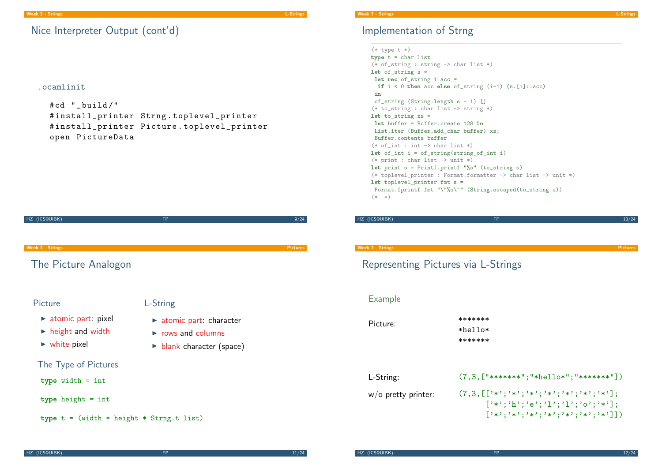# Implementation of Strng

 $(*$  type  $t *$ ) type  $t = char$  list (\* of\_string : string -> char list \*) let of\_string  $s =$ let rec of\_string i acc = if  $i < 0$  then acc else of\_string  $(i-1)$   $(s.[i]::acc)$ in of\_string (String.length s - 1) [] (\* to\_string : char list -> string \*) let to\_string  $xs =$ let buffer = Buffer.create 128 in List.iter (Buffer.add char buffer) xs; Buffer.contents buffer  $(*$  of int : int  $\rightarrow$  char list \*) let of\_int  $i = of_string(string_of_int i)$  $(*)$  print : char list  $\rightarrow$  unit  $*)$ let print  $s = Printf.printf$  "%s" (to\_string s) (\* toplevel\_printer : Format.formatter -> char list -> unit \*) let toplevel\_printer fmt s = Format.fprintf fmt "\"%s\"" (String.escaped(to\_string s))  $(* * )$ 

| HZ (ICS@UIBK) | пn |  |
|---------------|----|--|
|               |    |  |

#### Week 3 - Strings Pictures Pictures Pictures and the Contract of the Contract of the Pictures Pictures Pictures

# Representing Pictures via L-Strings

#### Example

Picture: \*\*\*\*\*\*\*\* \*hello\* \*\*\*\*\*\*\*

| L-String:              | $(7,3,["******";"*hello*";"******"])$                                                                    |
|------------------------|----------------------------------------------------------------------------------------------------------|
| $w$ /o pretty printer: | $(7,3,[[}'{'*}';'*/'{}'*)'*/'{}'*/'{}'*/'{}'*/'{}'*/'{}'$<br>$[ ' * ', 'h'; 'e'; 'l'; 'l'; 'o'; ' *']$ ; |
|                        | $[3*3;3*3;3*3;3*3;3*3;3*3;3*3;3*3]$                                                                      |

 $(7,3,1"********"$ "\*hello\*";"\*\*\*\*\*\*\*"])

# Nice Interpreter Output (cont'd)

#### .ocamlinit

```
#cd " build/"
# install_printer Strng . toplevel_printer
# install_printer Picture . toplevel_printer
open PictureData
```
HZ (ICS@UIBK) FP 9/24 Week 3 - Strings Pictures [Th](#page-0-0)e Picture Analogon Picture  $\triangleright$  atomic part: pixel  $\blacktriangleright$  height and width  $\triangleright$  white pixel L-String  $\blacktriangleright$  atomic part: character  $\triangleright$  rows and columns  $\blacktriangleright$  blank character (space) The Type of Pictures type width = int type height = int type  $t = (width * height * String.t list)$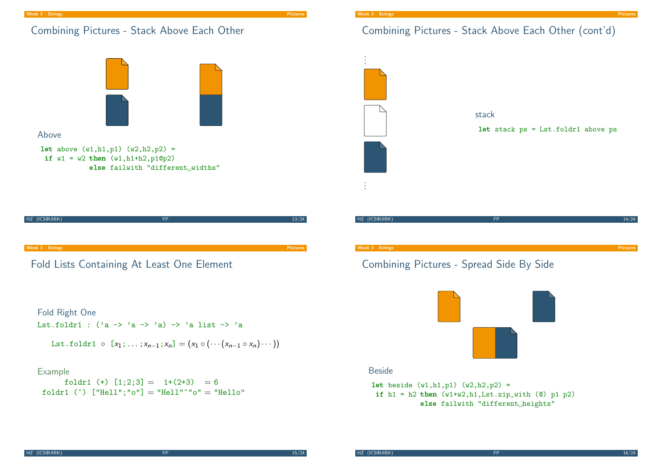# Combining Pictures - Stack Above Each Other







Lst.foldr1 :  $('a \rightarrow 'a \rightarrow 'a) \rightarrow 'a$  list  $\rightarrow 'a$ 

$$
List.foldr1 \circ [x_1; \ldots; x_{n-1}; x_n] = (x_1 \circ (\cdots (x_{n-1} \circ x_n) \cdots))
$$

#### Example

foldr1 (+)  $[1;2;3] = 1+(2+3) = 6$ foldr1 (^)  $["He11"$ ; "o"] = "Hell"^"o" = "Hello"

# Combining Pictures - Stack Above Each Other (cont'd)



# Combining Pictures - Spread Side By Side



#### **Beside**

let beside  $(w1, h1, p1)$   $(w2, h2, p2) =$ if  $h1 = h2$  then  $(w1+w2,h1,Lst.zip\_with (0) p1 p2)$ else failwith "different $_{\sqcup}$ heights"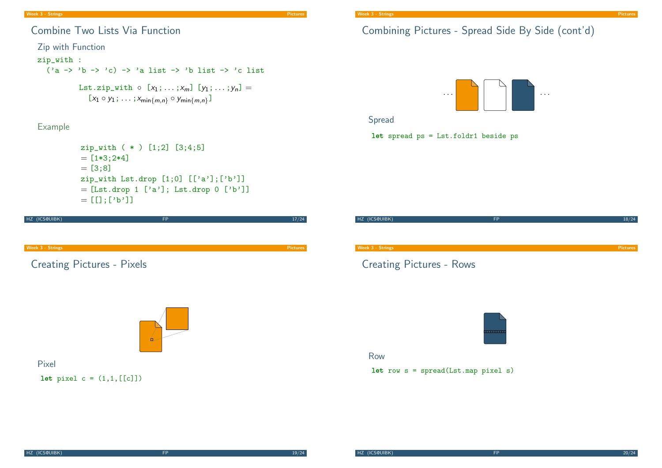#### Week 3 - Strings Pictures

# Combine Two Lists Via Function

#### Zip with Function

#### zip\_with :

 $('a \rightarrow 'b \rightarrow 'c) \rightarrow 'a$  list  $\rightarrow 'b$  list  $\rightarrow 'c$  list

Lst.zip\_with  $\circ$   $[x_1; \ldots; x_m]$   $[y_1; \ldots; y_n] =$  $[x_1 \circ y_1; \ldots; x_{\min\{m,n\}} \circ y_{\min\{m,n\}}]$ 

# Example

```
zip_with ( * ) [1;2] [3;4;5]
= [1*3;2*4]= [3; 8]zip_with Lst.drop [1;0] [['a'];['b']= [Lst.drop 1 ['a']; Lst.drop 0 ['b']]
= [[];['b']]
```

| HZ (ICS@UIBK)                     | <b>FP</b> | 17/24           |
|-----------------------------------|-----------|-----------------|
|                                   |           |                 |
| Week 3 - Strings                  |           | <b>Pictures</b> |
|                                   |           |                 |
| <b>Creating Pictures - Pixels</b> |           |                 |
|                                   |           |                 |
|                                   |           |                 |
|                                   |           |                 |
|                                   | о         |                 |
| Pixel                             |           |                 |

#### **let** pixel  $c = (1, 1, [[c]])$

# Combining Pictures - Spread Side By Side (cont'd)



## Spread

let spread ps = Lst.foldr1 beside ps

| HZ (ICS@UIBK)                                                   | <b>FP</b> | 18/24           |
|-----------------------------------------------------------------|-----------|-----------------|
|                                                                 |           |                 |
|                                                                 |           |                 |
|                                                                 |           |                 |
| Week 3 - Strings                                                |           | <b>Pictures</b> |
| $C_{\text{total}}$ to $D_{\text{total}}$ and $D_{\text{total}}$ |           |                 |

# Creating Pictures - Rows



#### Row

#### let row  $s = spread(Lstmap pixel s)$